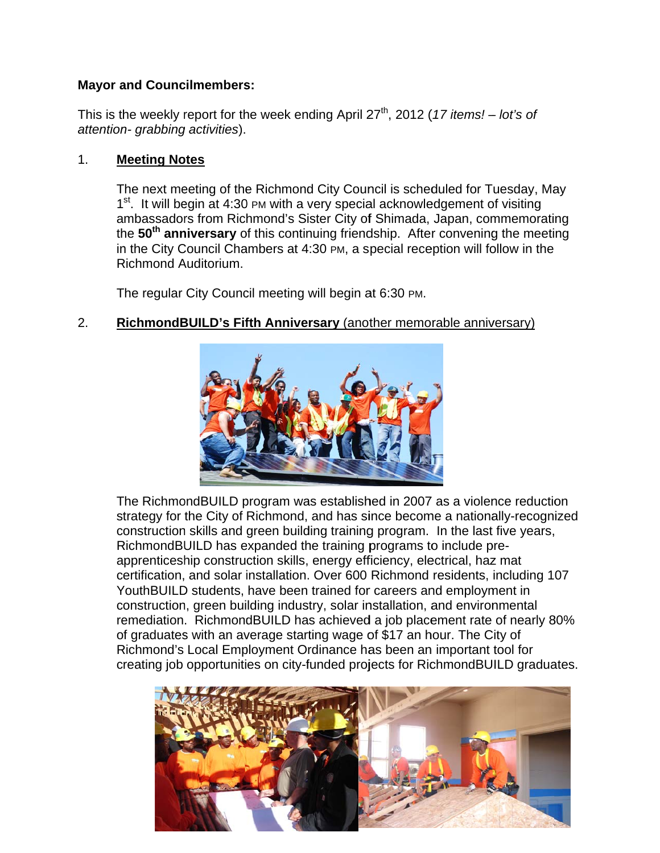### **Mayor and Councilmembers:**

This is the weekly report for the week ending April  $27<sup>th</sup>$ , 2012 (17 items! – lot's of attention- grabbing activities).

#### $1<sub>1</sub>$ **Meeting Notes**

The next meeting of the Richmond City Council is scheduled for Tuesday, May 1<sup>st</sup>. It will begin at 4:30 PM with a very special acknowledgement of visiting ambassadors from Richmond's Sister City of Shimada, Japan, commemorating the 50<sup>th</sup> anniversary of this continuing friendship. After convening the meeting in the City Council Chambers at 4:30 PM, a special reception will follow in the Richmond Auditorium.

The regular City Council meeting will begin at 6:30 PM.

### $2.$ RichmondBUILD's Fifth Anniversary (another memorable anniversary)



The RichmondBUILD program was established in 2007 as a violence reduction strategy for the City of Richmond, and has since become a nationally-recognized construction skills and green building training program. In the last five years, RichmondBUILD has expanded the training programs to include preapprenticeship construction skills, energy efficiency, electrical, haz mat certification, and solar installation. Over 600 Richmond residents, including 107 YouthBUILD students, have been trained for careers and employment in construction, green building industry, solar installation, and environmental remediation. RichmondBUILD has achieved a job placement rate of nearly 80% of graduates with an average starting wage of \$17 an hour. The City of Richmond's Local Employment Ordinance has been an important tool for creating job opportunities on city-funded projects for RichmondBUILD graduates.

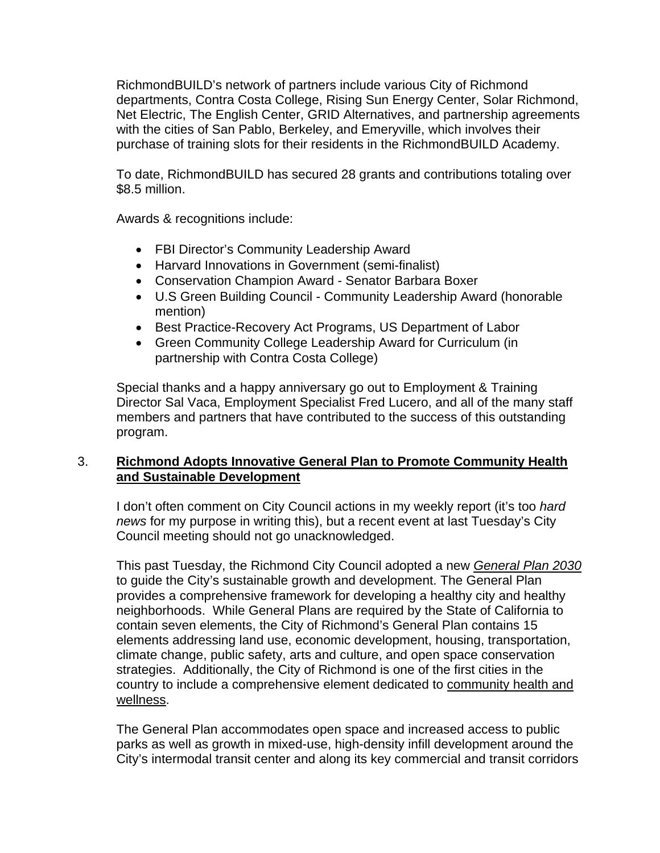RichmondBUILD's network of partners include various City of Richmond departments, Contra Costa College, Rising Sun Energy Center, Solar Richmond, Net Electric, The English Center, GRID Alternatives, and partnership agreements with the cities of San Pablo, Berkeley, and Emeryville, which involves their purchase of training slots for their residents in the RichmondBUILD Academy.

To date, RichmondBUILD has secured 28 grants and contributions totaling over \$8.5 million.

Awards & recognitions include:

- FBI Director's Community Leadership Award
- Harvard Innovations in Government (semi-finalist)
- Conservation Champion Award Senator Barbara Boxer
- U.S Green Building Council Community Leadership Award (honorable mention)
- Best Practice-Recovery Act Programs, US Department of Labor
- Green Community College Leadership Award for Curriculum (in partnership with Contra Costa College)

Special thanks and a happy anniversary go out to Employment & Training Director Sal Vaca, Employment Specialist Fred Lucero, and all of the many staff members and partners that have contributed to the success of this outstanding program.

# 3. **Richmond Adopts Innovative General Plan to Promote Community Health and Sustainable Development**

I don't often comment on City Council actions in my weekly report (it's too *hard news* for my purpose in writing this), but a recent event at last Tuesday's City Council meeting should not go unacknowledged.

This past Tuesday, the Richmond City Council adopted a new *General Plan 2030* to guide the City's sustainable growth and development. The General Plan provides a comprehensive framework for developing a healthy city and healthy neighborhoods. While General Plans are required by the State of California to contain seven elements, the City of Richmond's General Plan contains 15 elements addressing land use, economic development, housing, transportation, climate change, public safety, arts and culture, and open space conservation strategies. Additionally, the City of Richmond is one of the first cities in the country to include a comprehensive element dedicated to community health and wellness.

The General Plan accommodates open space and increased access to public parks as well as growth in mixed-use, high-density infill development around the City's intermodal transit center and along its key commercial and transit corridors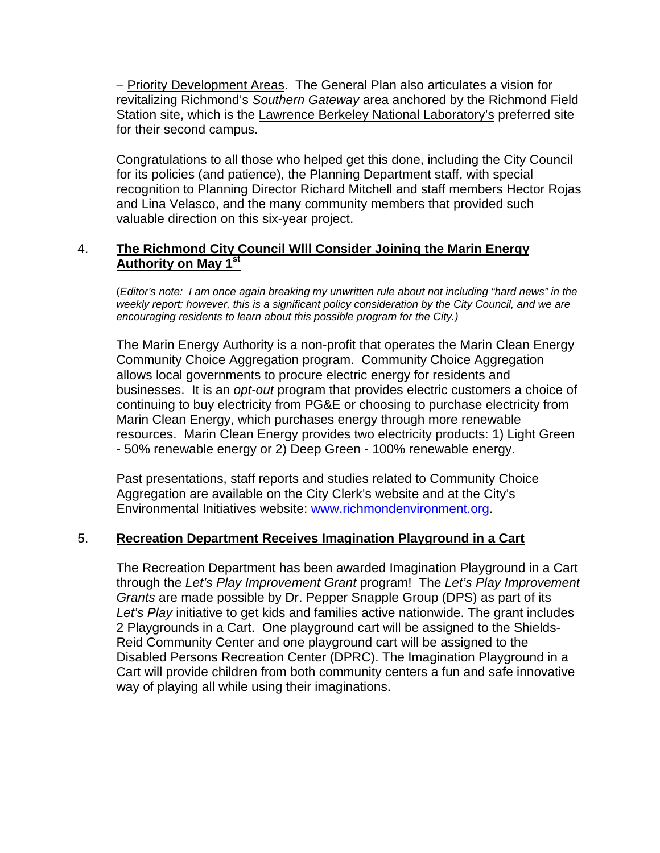– Priority Development Areas. The General Plan also articulates a vision for revitalizing Richmond's *Southern Gateway* area anchored by the Richmond Field Station site, which is the Lawrence Berkeley National Laboratory's preferred site for their second campus.

Congratulations to all those who helped get this done, including the City Council for its policies (and patience), the Planning Department staff, with special recognition to Planning Director Richard Mitchell and staff members Hector Rojas and Lina Velasco, and the many community members that provided such valuable direction on this six-year project.

# 4. **The Richmond City Council Wlll Consider Joining the Marin Energy Authority on May 1st**

(*Editor's note: I am once again breaking my unwritten rule about not including "hard news" in the*  weekly report; however, this is a significant policy consideration by the City Council, and we are *encouraging residents to learn about this possible program for the City.)* 

The Marin Energy Authority is a non-profit that operates the Marin Clean Energy Community Choice Aggregation program. Community Choice Aggregation allows local governments to procure electric energy for residents and businesses. It is an *opt-out* program that provides electric customers a choice of continuing to buy electricity from PG&E or choosing to purchase electricity from Marin Clean Energy, which purchases energy through more renewable resources. Marin Clean Energy provides two electricity products: 1) Light Green - 50% renewable energy or 2) Deep Green - 100% renewable energy.

Past presentations, staff reports and studies related to Community Choice Aggregation are available on the City Clerk's website and at the City's Environmental Initiatives website: www.richmondenvironment.org.

### 5. **Recreation Department Receives Imagination Playground in a Cart**

The Recreation Department has been awarded Imagination Playground in a Cart through the *Let's Play Improvement Grant* program! The *Let's Play Improvement Grants* are made possible by Dr. Pepper Snapple Group (DPS) as part of its *Let's Play* initiative to get kids and families active nationwide. The grant includes 2 Playgrounds in a Cart. One playground cart will be assigned to the Shields-Reid Community Center and one playground cart will be assigned to the Disabled Persons Recreation Center (DPRC). The Imagination Playground in a Cart will provide children from both community centers a fun and safe innovative way of playing all while using their imaginations.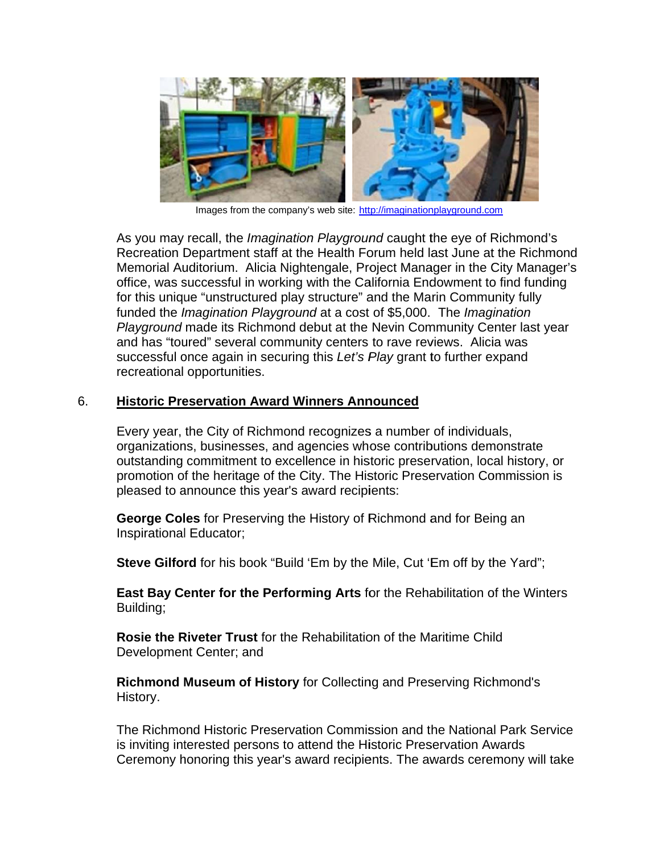

Images from the company's web site: http://imaginationplayground.com

As you may recall, the Imagination Playground caught the eye of Richmond's Recreation Department staff at the Health Forum held last June at the Richmond Memorial Auditorium. Alicia Nightengale, Project Manager in the City Manager's office, was successful in working with the California Endowment to find funding for this unique "unstructured play structure" and the Marin Community fully funded the Imagination Playground at a cost of \$5,000. The Imagination *Playground* made its Richmond debut at the Nevin Community Center last year and has "toured" several community centers to rave reviews. Alicia was successful once again in securing this Let's Play grant to further expand recreational opportunities.

#### 6. **Historic Preservation Award Winners Announced**

Every year, the City of Richmond recognizes a number of individuals, organizations, businesses, and agencies whose contributions demonstrate outstanding commitment to excellence in historic preservation, local history, or promotion of the heritage of the City. The Historic Preservation Commission is pleased to announce this year's award recipients:

George Coles for Preserving the History of Richmond and for Being an **Inspirational Educator;** 

Steve Gilford for his book "Build 'Em by the Mile, Cut 'Em off by the Yard";

East Bay Center for the Performing Arts for the Rehabilitation of the Winters Building;

Rosie the Riveter Trust for the Rehabilitation of the Maritime Child Development Center; and

Richmond Museum of History for Collecting and Preserving Richmond's History.

The Richmond Historic Preservation Commission and the National Park Service is inviting interested persons to attend the Historic Preservation Awards Ceremony honoring this year's award recipients. The awards ceremony will take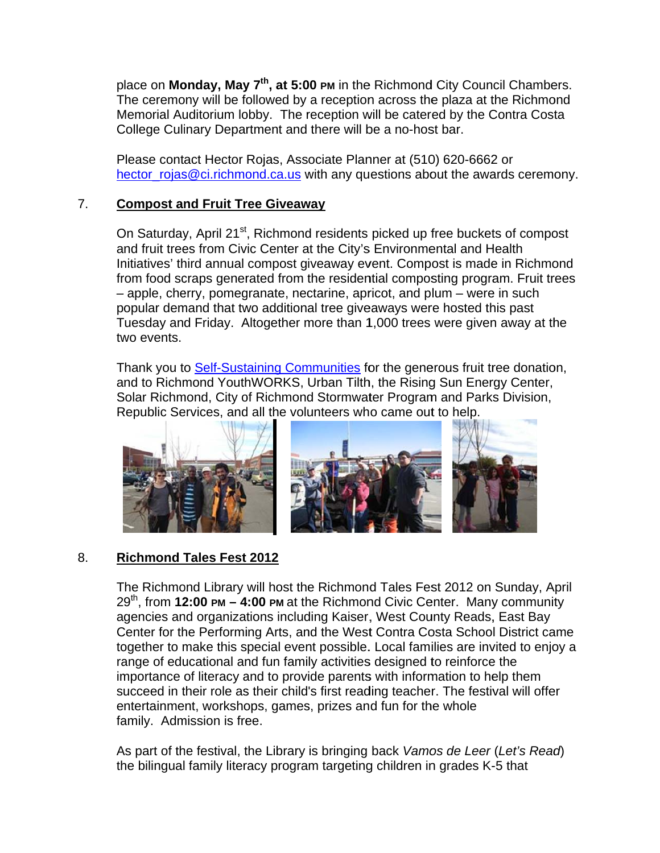place on Monday, May 7<sup>th</sup>, at 5:00 PM in the Richmond City Council Chambers. The ceremony will be followed by a reception across the plaza at the Richmond Memorial Auditorium lobby. The reception will be catered by the Contra Costa College Culinary Department and there will be a no-host bar.

Please contact Hector Rojas, Associate Planner at (510) 620-6662 or hector rojas@ci.richmond.ca.us with any questions about the awards ceremony.

### $7<sub>1</sub>$ **Compost and Fruit Tree Giveaway**

On Saturday, April 21<sup>st</sup>, Richmond residents picked up free buckets of compost and fruit trees from Civic Center at the City's Environmental and Health Initiatives' third annual compost giveaway event. Compost is made in Richmond from food scraps generated from the residential composting program. Fruit trees - apple, cherry, pomegranate, nectarine, apricot, and plum - were in such popular demand that two additional tree giveaways were hosted this past Tuesday and Friday. Altogether more than 1,000 trees were given away at the two events.

Thank you to Self-Sustaining Communities for the generous fruit tree donation, and to Richmond YouthWORKS, Urban Tilth, the Rising Sun Energy Center, Solar Richmond, City of Richmond Stormwater Program and Parks Division, Republic Services, and all the volunteers who came out to help.



### 8. **Richmond Tales Fest 2012**

The Richmond Library will host the Richmond Tales Fest 2012 on Sunday, April  $29<sup>th</sup>$ , from **12:00 PM – 4:00 PM** at the Richmond Civic Center. Many community agencies and organizations including Kaiser, West County Reads, East Bay Center for the Performing Arts, and the West Contra Costa School District came together to make this special event possible. Local families are invited to enjoy a range of educational and fun family activities designed to reinforce the importance of literacy and to provide parents with information to help them succeed in their role as their child's first reading teacher. The festival will offer entertainment, workshops, games, prizes and fun for the whole family. Admission is free.

As part of the festival, the Library is bringing back Vamos de Leer (Let's Read) the bilingual family literacy program targeting children in grades K-5 that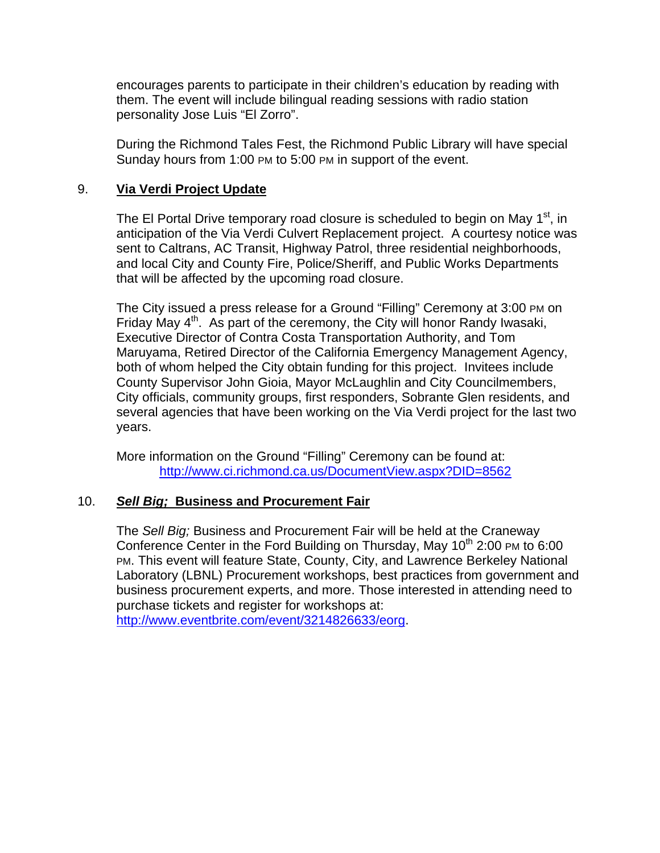encourages parents to participate in their children's education by reading with them. The event will include bilingual reading sessions with radio station personality Jose Luis "El Zorro".

During the Richmond Tales Fest, the Richmond Public Library will have special Sunday hours from 1:00 PM to 5:00 PM in support of the event.

### 9. **Via Verdi Project Update**

The El Portal Drive temporary road closure is scheduled to begin on May  $1<sup>st</sup>$ , in anticipation of the Via Verdi Culvert Replacement project. A courtesy notice was sent to Caltrans, AC Transit, Highway Patrol, three residential neighborhoods, and local City and County Fire, Police/Sheriff, and Public Works Departments that will be affected by the upcoming road closure.

The City issued a press release for a Ground "Filling" Ceremony at 3:00 PM on Friday May  $4<sup>th</sup>$ . As part of the ceremony, the City will honor Randy Iwasaki, Executive Director of Contra Costa Transportation Authority, and Tom Maruyama, Retired Director of the California Emergency Management Agency, both of whom helped the City obtain funding for this project. Invitees include County Supervisor John Gioia, Mayor McLaughlin and City Councilmembers, City officials, community groups, first responders, Sobrante Glen residents, and several agencies that have been working on the Via Verdi project for the last two years.

More information on the Ground "Filling" Ceremony can be found at: http://www.ci.richmond.ca.us/DocumentView.aspx?DID=8562

### 10. *Sell Big;* **Business and Procurement Fair**

The *Sell Big;* Business and Procurement Fair will be held at the Craneway Conference Center in the Ford Building on Thursday, May  $10<sup>th</sup>$  2:00 PM to 6:00 PM. This event will feature State, County, City, and Lawrence Berkeley National Laboratory (LBNL) Procurement workshops, best practices from government and business procurement experts, and more. Those interested in attending need to purchase tickets and register for workshops at: http://www.eventbrite.com/event/3214826633/eorg.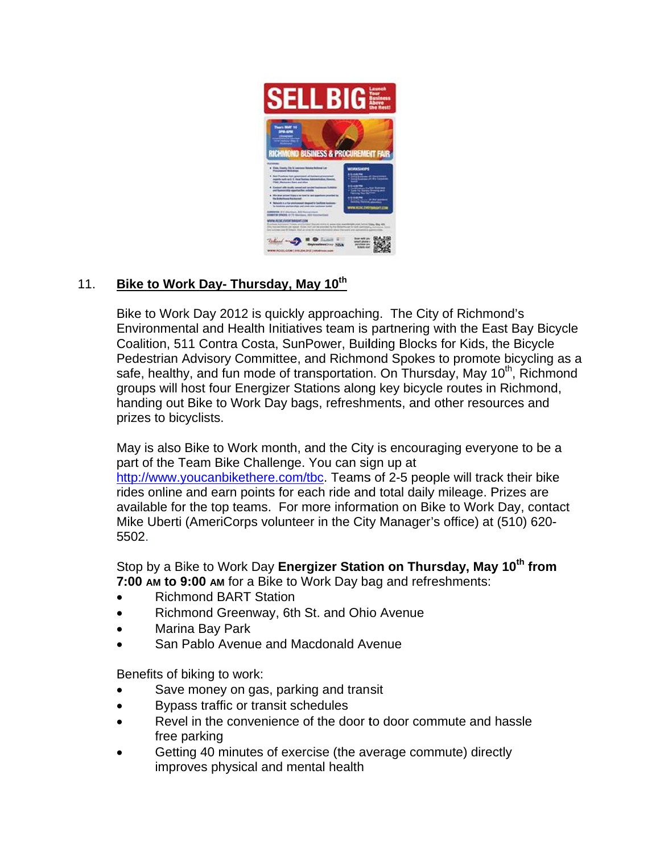

### $11.$ Bike to Work Day- Thursday, May 10th

Bike to Work Day 2012 is quickly approaching. The City of Richmond's Environmental and Health Initiatives team is partnering with the East Bay Bicycle Coalition, 511 Contra Costa, SunPower, Building Blocks for Kids, the Bicycle Pedestrian Advisory Committee, and Richmond Spokes to promote bicycling as a safe, healthy, and fun mode of transportation. On Thursday, May 10<sup>th</sup>, Richmond groups will host four Energizer Stations along key bicycle routes in Richmond, handing out Bike to Work Day bags, refreshments, and other resources and prizes to bicyclists.

May is also Bike to Work month, and the City is encouraging everyone to be a part of the Team Bike Challenge. You can sign up at http://www.youcanbikethere.com/tbc. Teams of 2-5 people will track their bike rides online and earn points for each ride and total daily mileage. Prizes are available for the top teams. For more information on Bike to Work Day, contact Mike Uberti (AmeriCorps volunteer in the City Manager's office) at (510) 620-5502.

Stop by a Bike to Work Day Energizer Station on Thursday, May 10<sup>th</sup> from 7:00 AM to 9:00 AM for a Bike to Work Day bag and refreshments:

- $\bullet$ **Richmond BART Station**
- Richmond Greenway, 6th St. and Ohio Avenue  $\bullet$
- Marina Bay Park
- San Pablo Avenue and Macdonald Avenue  $\bullet$

Benefits of biking to work:

- Save money on gas, parking and transit  $\bullet$
- Bypass traffic or transit schedules
- Revel in the convenience of the door to door commute and hassle free parking
- Getting 40 minutes of exercise (the average commute) directly improves physical and mental health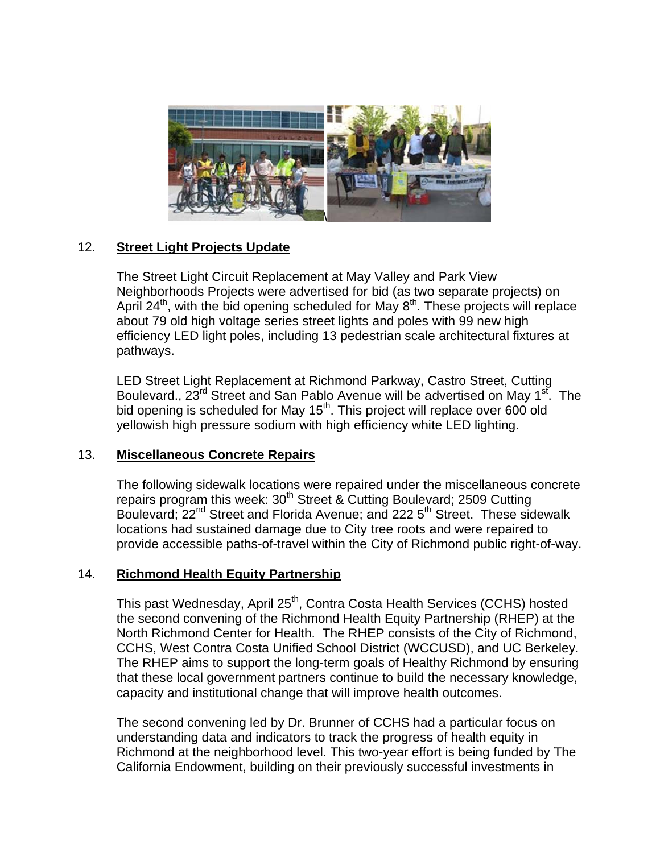

### $12.$ **Street Light Projects Update**

The Street Light Circuit Replacement at May Valley and Park View Neighborhoods Projects were advertised for bid (as two separate projects) on April 24<sup>th</sup>, with the bid opening scheduled for May 8<sup>th</sup>. These projects will replace about 79 old high voltage series street lights and poles with 99 new high efficiency LED light poles, including 13 pedestrian scale architectural fixtures at pathways.

LED Street Light Replacement at Richmond Parkway, Castro Street, Cutting Boulevard., 23<sup>rd</sup> Street and San Pablo Avenue will be advertised on May 1<sup>st</sup>. The bid opening is scheduled for May 15<sup>th</sup>. This project will replace over 600 old yellowish high pressure sodium with high efficiency white LED lighting.

#### $13.$ **Miscellaneous Concrete Repairs**

The following sidewalk locations were repaired under the miscellaneous concrete repairs program this week: 30<sup>th</sup> Street & Cutting Boulevard; 2509 Cutting Boulevard: 22<sup>nd</sup> Street and Florida Avenue; and 222 5<sup>th</sup> Street. These sidewalk locations had sustained damage due to City tree roots and were repaired to provide accessible paths-of-travel within the City of Richmond public right-of-way.

#### $14.$ **Richmond Health Equity Partnership**

This past Wednesday, April 25<sup>th</sup>, Contra Costa Health Services (CCHS) hosted the second convening of the Richmond Health Equity Partnership (RHEP) at the North Richmond Center for Health. The RHEP consists of the City of Richmond, CCHS, West Contra Costa Unified School District (WCCUSD), and UC Berkeley. The RHEP aims to support the long-term goals of Healthy Richmond by ensuring that these local government partners continue to build the necessary knowledge, capacity and institutional change that will improve health outcomes.

The second convening led by Dr. Brunner of CCHS had a particular focus on understanding data and indicators to track the progress of health equity in Richmond at the neighborhood level. This two-year effort is being funded by The California Endowment, building on their previously successful investments in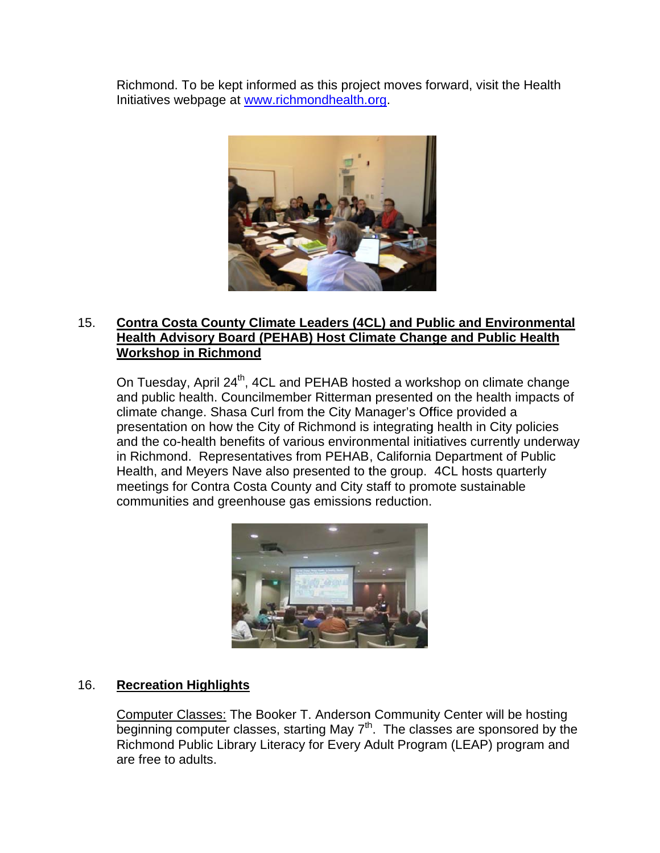Richmond. To be kept informed as this project moves forward, visit the Health Initiatives webpage at www.richmondhealth.org.



### $15.$ **Contra Costa County Climate Leaders (4CL) and Public and Environmental** Health Advisory Board (PEHAB) Host Climate Change and Public Health **Workshop in Richmond**

On Tuesday, April 24<sup>th</sup>, 4CL and PEHAB hosted a workshop on climate change and public health. Councilmember Ritterman presented on the health impacts of climate change. Shasa Curl from the City Manager's Office provided a presentation on how the City of Richmond is integrating health in City policies and the co-health benefits of various environmental initiatives currently underway in Richmond. Representatives from PEHAB, California Department of Public Health, and Meyers Nave also presented to the group. 4CL hosts quarterly meetings for Contra Costa County and City staff to promote sustainable communities and greenhouse gas emissions reduction.



### 16. **Recreation Highlights**

Computer Classes: The Booker T. Anderson Community Center will be hosting beginning computer classes, starting May 7<sup>th</sup>. The classes are sponsored by the Richmond Public Library Literacy for Every Adult Program (LEAP) program and are free to adults.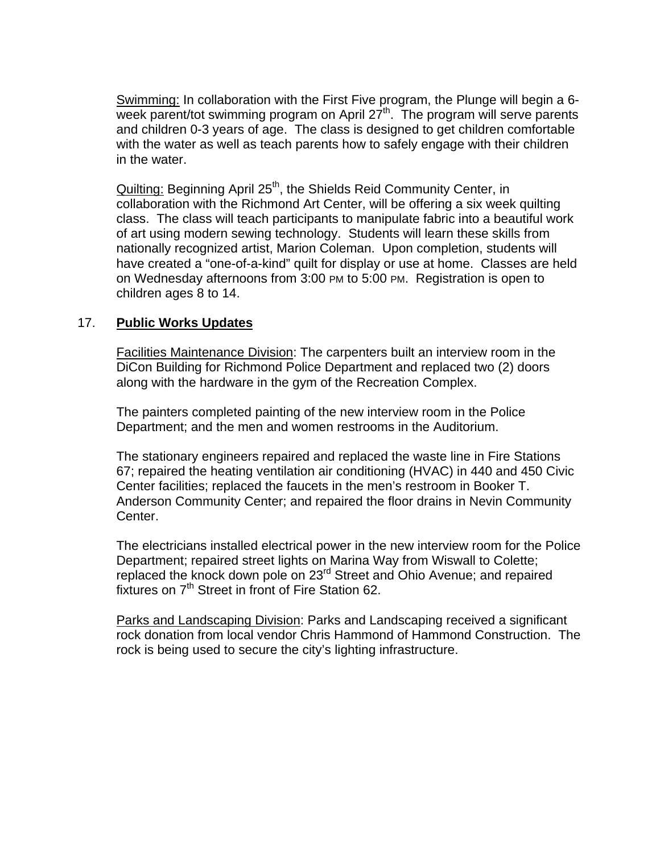Swimming: In collaboration with the First Five program, the Plunge will begin a 6 week parent/tot swimming program on April  $27<sup>th</sup>$ . The program will serve parents and children 0-3 years of age. The class is designed to get children comfortable with the water as well as teach parents how to safely engage with their children in the water.

Quilting: Beginning April 25<sup>th</sup>, the Shields Reid Community Center, in collaboration with the Richmond Art Center, will be offering a six week quilting class. The class will teach participants to manipulate fabric into a beautiful work of art using modern sewing technology. Students will learn these skills from nationally recognized artist, Marion Coleman. Upon completion, students will have created a "one-of-a-kind" quilt for display or use at home. Classes are held on Wednesday afternoons from 3:00 PM to 5:00 PM. Registration is open to children ages 8 to 14.

# 17. **Public Works Updates**

Facilities Maintenance Division: The carpenters built an interview room in the DiCon Building for Richmond Police Department and replaced two (2) doors along with the hardware in the gym of the Recreation Complex.

The painters completed painting of the new interview room in the Police Department; and the men and women restrooms in the Auditorium.

The stationary engineers repaired and replaced the waste line in Fire Stations 67; repaired the heating ventilation air conditioning (HVAC) in 440 and 450 Civic Center facilities; replaced the faucets in the men's restroom in Booker T. Anderson Community Center; and repaired the floor drains in Nevin Community Center.

The electricians installed electrical power in the new interview room for the Police Department; repaired street lights on Marina Way from Wiswall to Colette; replaced the knock down pole on 23<sup>rd</sup> Street and Ohio Avenue; and repaired fixtures on  $7<sup>th</sup>$  Street in front of Fire Station 62.

Parks and Landscaping Division: Parks and Landscaping received a significant rock donation from local vendor Chris Hammond of Hammond Construction. The rock is being used to secure the city's lighting infrastructure.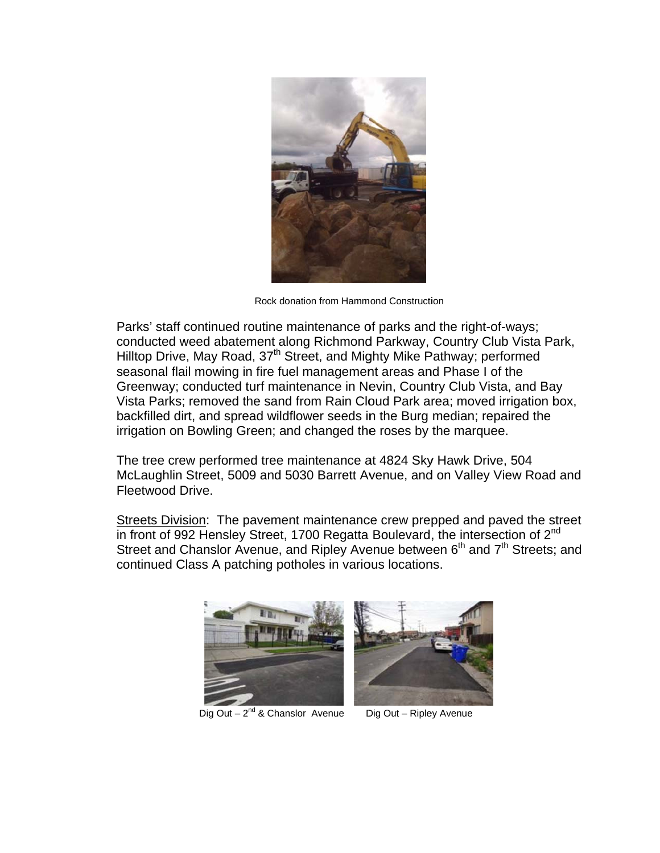

Rock donation from Hammond Construction

Parks' staff continued routine maintenance of parks and the right-of-ways; conducted weed abatement along Richmond Parkway, Country Club Vista Park, Hilltop Drive, May Road, 37<sup>th</sup> Street, and Mighty Mike Pathway; performed seasonal flail mowing in fire fuel management areas and Phase I of the Greenway; conducted turf maintenance in Nevin, Country Club Vista, and Bay Vista Parks; removed the sand from Rain Cloud Park area; moved irrigation box, backfilled dirt, and spread wildflower seeds in the Burg median; repaired the irrigation on Bowling Green; and changed the roses by the marquee.

The tree crew performed tree maintenance at 4824 Sky Hawk Drive, 504 McLaughlin Street, 5009 and 5030 Barrett Avenue, and on Valley View Road and Fleetwood Drive.

Streets Division: The pavement maintenance crew prepped and paved the street in front of 992 Hensley Street, 1700 Regatta Boulevard, the intersection of 2<sup>nd</sup> Street and Chanslor Avenue, and Ripley Avenue between 6<sup>th</sup> and 7<sup>th</sup> Streets; and continued Class A patching potholes in various locations.





Dia Out  $-2^{nd}$  & Chanslor Avenue

Dig Out - Ripley Avenue